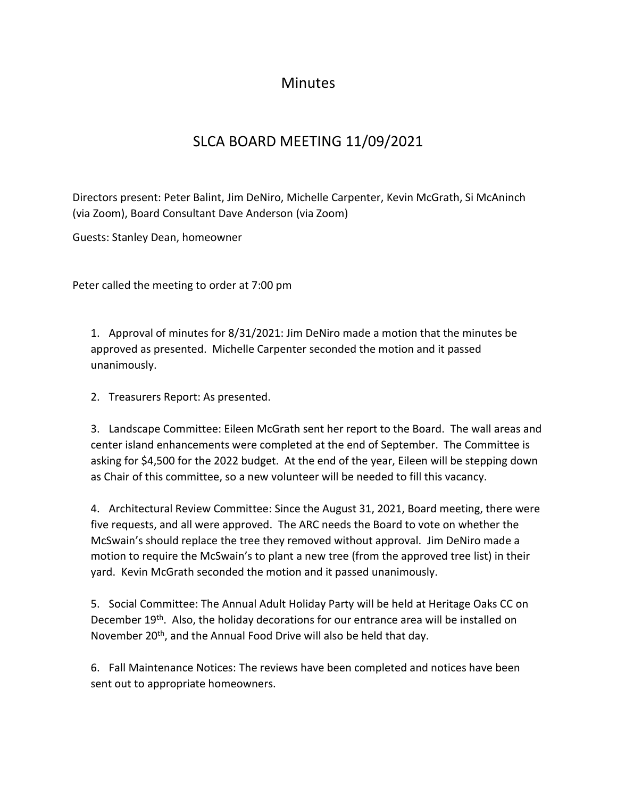## **Minutes**

## SLCA BOARD MEETING 11/09/2021

Directors present: Peter Balint, Jim DeNiro, Michelle Carpenter, Kevin McGrath, Si McAninch (via Zoom), Board Consultant Dave Anderson (via Zoom)

Guests: Stanley Dean, homeowner

Peter called the meeting to order at 7:00 pm

1. Approval of minutes for 8/31/2021: Jim DeNiro made a motion that the minutes be approved as presented. Michelle Carpenter seconded the motion and it passed unanimously.

2. Treasurers Report: As presented.

3. Landscape Committee: Eileen McGrath sent her report to the Board. The wall areas and center island enhancements were completed at the end of September. The Committee is asking for \$4,500 for the 2022 budget. At the end of the year, Eileen will be stepping down as Chair of this committee, so a new volunteer will be needed to fill this vacancy.

4. Architectural Review Committee: Since the August 31, 2021, Board meeting, there were five requests, and all were approved. The ARC needs the Board to vote on whether the McSwain's should replace the tree they removed without approval. Jim DeNiro made a motion to require the McSwain's to plant a new tree (from the approved tree list) in their yard. Kevin McGrath seconded the motion and it passed unanimously.

5. Social Committee: The Annual Adult Holiday Party will be held at Heritage Oaks CC on December 19<sup>th</sup>. Also, the holiday decorations for our entrance area will be installed on November 20<sup>th</sup>, and the Annual Food Drive will also be held that day.

6. Fall Maintenance Notices: The reviews have been completed and notices have been sent out to appropriate homeowners.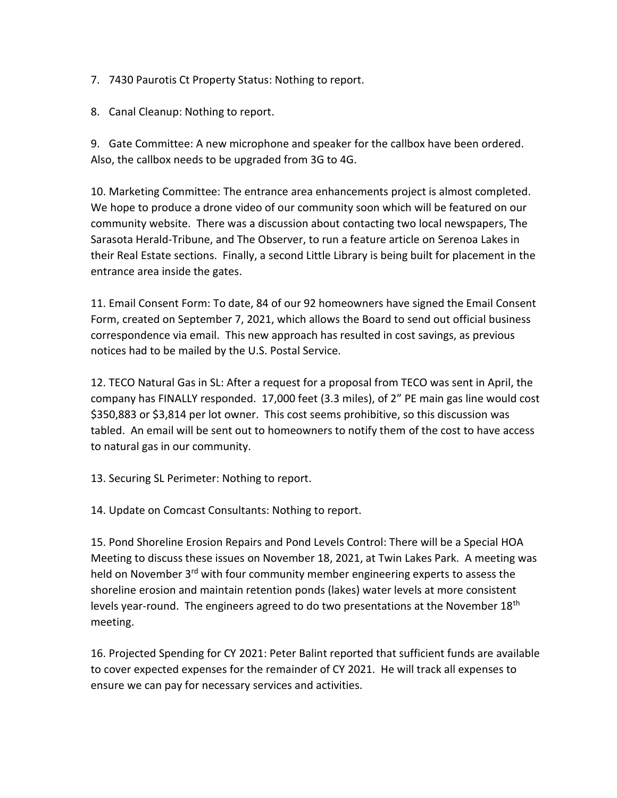- 7. 7430 Paurotis Ct Property Status: Nothing to report.
- 8. Canal Cleanup: Nothing to report.

9. Gate Committee: A new microphone and speaker for the callbox have been ordered. Also, the callbox needs to be upgraded from 3G to 4G.

10. Marketing Committee: The entrance area enhancements project is almost completed. We hope to produce a drone video of our community soon which will be featured on our community website. There was a discussion about contacting two local newspapers, The Sarasota Herald-Tribune, and The Observer, to run a feature article on Serenoa Lakes in their Real Estate sections. Finally, a second Little Library is being built for placement in the entrance area inside the gates.

11. Email Consent Form: To date, 84 of our 92 homeowners have signed the Email Consent Form, created on September 7, 2021, which allows the Board to send out official business correspondence via email. This new approach has resulted in cost savings, as previous notices had to be mailed by the U.S. Postal Service.

12. TECO Natural Gas in SL: After a request for a proposal from TECO was sent in April, the company has FINALLY responded. 17,000 feet (3.3 miles), of 2" PE main gas line would cost \$350,883 or \$3,814 per lot owner. This cost seems prohibitive, so this discussion was tabled. An email will be sent out to homeowners to notify them of the cost to have access to natural gas in our community.

13. Securing SL Perimeter: Nothing to report.

14. Update on Comcast Consultants: Nothing to report.

15. Pond Shoreline Erosion Repairs and Pond Levels Control: There will be a Special HOA Meeting to discuss these issues on November 18, 2021, at Twin Lakes Park. A meeting was held on November 3<sup>rd</sup> with four community member engineering experts to assess the shoreline erosion and maintain retention ponds (lakes) water levels at more consistent levels year-round. The engineers agreed to do two presentations at the November 18<sup>th</sup> meeting.

16. Projected Spending for CY 2021: Peter Balint reported that sufficient funds are available to cover expected expenses for the remainder of CY 2021. He will track all expenses to ensure we can pay for necessary services and activities.